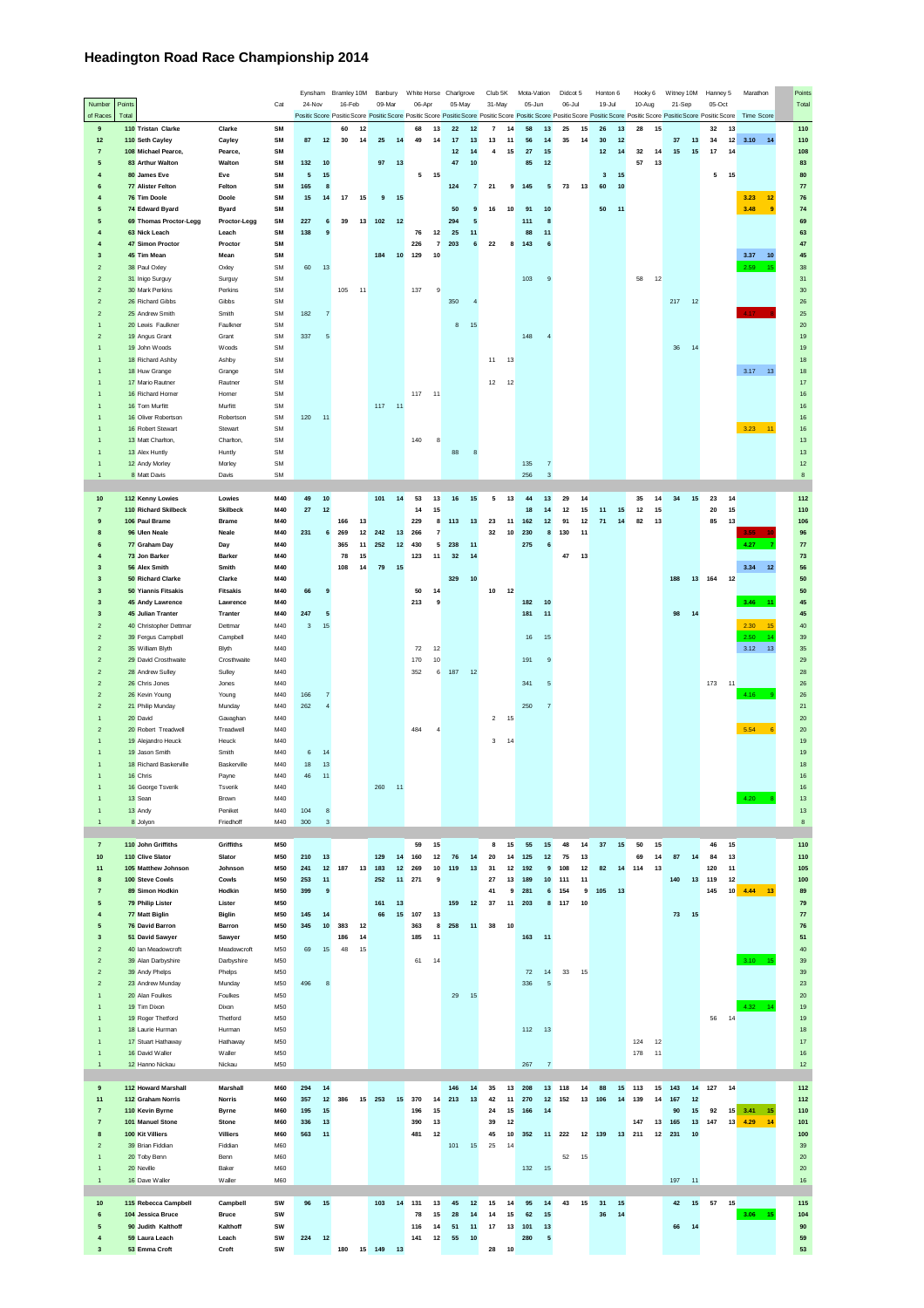## **Headington Road Race Championship 2014**

|                                           |                                           |                          |                        | Eynsham     |                | Bramley 10M     | Banbury   |        |           |                | White Horse Charlgrove                                                                                                                                                                                                                   |                | Club 5K         | Mota-Vation |                           | Didcot 5 |      | Honton 6    |          | Hooky 6 |    | Witney 10M |    | Hanney 5 |    | Marathon                     | Points     |
|-------------------------------------------|-------------------------------------------|--------------------------|------------------------|-------------|----------------|-----------------|-----------|--------|-----------|----------------|------------------------------------------------------------------------------------------------------------------------------------------------------------------------------------------------------------------------------------------|----------------|-----------------|-------------|---------------------------|----------|------|-------------|----------|---------|----|------------|----|----------|----|------------------------------|------------|
| Number<br>of Races                        | Points<br>Total                           |                          | Cat                    | 24-Nov      |                | 16-Feb          | 09-Mar    |        | 06-Apr    |                | 05-May<br>Positic Score Positic Score Positic Score Positic Score Positic Score Positic Score Positic Score Positic Score Positic Score Positic Score Positic Score Positic Score Positic Score Positic Score Positic Score Positic Scor |                | 31-May          | 05-Jun      |                           | 06-Jul   |      | 19-Jul      |          | 10-Aug  |    | 21-Sep     |    | 05-Oct   |    | Time Score                   | Total      |
| $\mathbf{9}$                              | 110 Tristan Clarke                        | Clarke                   | SM                     |             |                | 60<br>12        |           |        | 68        | 13             | $\bf 22$<br>12                                                                                                                                                                                                                           | $\overline{7}$ | 14              | 58          | 13                        | 25       | 15   | 26          | 13       | 28      | 15 |            |    | 32       | 13 |                              | 110        |
| 12                                        | 110 Seth Cayley                           | Cayley                   | SM                     | 87          | 12             | 30              | 14<br>25  | 14     | 49        | 14             | 17<br>13                                                                                                                                                                                                                                 | 13             | 11              | 56          | 14                        | 35       | 14   | 30          | 12       |         |    | 37         | 13 | 34       | 12 | $3.10$ 14                    | 110        |
| $\overline{7}$                            | 108 Michael Pearce,                       | Pearce,                  | SM                     |             |                |                 |           |        |           |                | 12<br>14                                                                                                                                                                                                                                 | 4              | 15              | 27          | 15                        |          |      | 12          | 14       | 32      | 14 | $15\,$     | 15 | $17\,$   | 14 |                              | 108        |
| 5                                         | 83 Arthur Walton                          | Walton                   | SM                     | 132         | 10             |                 | 97        | 13     |           |                | 47<br>10                                                                                                                                                                                                                                 |                |                 | 85          | 12                        |          |      |             |          | 57      | 13 |            |    |          |    |                              | 83         |
| 4                                         | 80 James Eve                              | Eve                      | SM                     | ${\bf 5}$   | 15             |                 |           |        | 5         | 15             |                                                                                                                                                                                                                                          |                |                 |             |                           |          |      | $\mathbf 3$ | 15       |         |    |            |    | 5        | 15 |                              | 80         |
| 6                                         | 77 Alister Felton                         | Felton                   | SM                     | 165         | 8              |                 |           |        |           |                | 124<br>$\overline{\textbf{7}}$                                                                                                                                                                                                           | ${\bf 21}$     | $\overline{9}$  | 145         | ${\bf 5}$                 | 73       | 13   | 60          | $10$     |         |    |            |    |          |    |                              | 77         |
|                                           | 76 Tim Doole                              | Doole                    | SM                     | 15          | $14$           | 17              | 15<br>9   | 15     |           |                |                                                                                                                                                                                                                                          |                |                 |             |                           |          |      |             |          |         |    |            |    |          |    | 3.23<br>12                   | 76         |
| 5                                         | 74 Edward Byard                           | <b>Byard</b>             | SM                     |             |                |                 |           |        |           |                | 50<br>9                                                                                                                                                                                                                                  | 16             | 10              | 91          | $10$                      |          |      | 50          | 11       |         |    |            |    |          |    | 3.48<br>9                    | 74         |
| 5<br>4                                    | 69 Thomas Proctor-Legg<br>63 Nick Leach   | Proctor-Legg<br>Leach    | SM<br>SM               | 227<br>138  | 6<br>9         | 39              | 13<br>102 | 12     | 76        | 12             | 294<br>5<br>25<br>11                                                                                                                                                                                                                     |                |                 | 111<br>88   | 8<br>11                   |          |      |             |          |         |    |            |    |          |    |                              | 69<br>63   |
|                                           | 47 Simon Proctor                          | Proctor                  | SM                     |             |                |                 |           |        | 226       | $\overline{7}$ | 203<br>6                                                                                                                                                                                                                                 | 22             | 8               | 143         | 6                         |          |      |             |          |         |    |            |    |          |    |                              | 47         |
| 3                                         | 45 Tim Mean                               | Mean                     | SM                     |             |                |                 | 184       | 10     | 129       | 10             |                                                                                                                                                                                                                                          |                |                 |             |                           |          |      |             |          |         |    |            |    |          |    | 3.37<br>10                   | 45         |
| $\overline{2}$                            | 38 Paul Oxley                             | Oxley                    | <b>SM</b>              | 60          | 13             |                 |           |        |           |                |                                                                                                                                                                                                                                          |                |                 |             |                           |          |      |             |          |         |    |            |    |          |    | 2.59<br>48                   | 38         |
| $\overline{a}$                            | 31 Inigo Surguy                           | Surguy                   | <b>SM</b>              |             |                |                 |           |        |           |                |                                                                                                                                                                                                                                          |                |                 | 103         | 9                         |          |      |             |          | 58      | 12 |            |    |          |    |                              | 31         |
| $\overline{2}$                            | 30 Mark Perkins                           | Perkins                  | <b>SM</b>              |             |                | 105<br>11       |           |        | 137       | 9              |                                                                                                                                                                                                                                          |                |                 |             |                           |          |      |             |          |         |    |            |    |          |    |                              | 30         |
| $\overline{\phantom{a}}$                  | 26 Richard Gibbs                          | Gibbs                    | <b>SM</b>              |             |                |                 |           |        |           |                | 350                                                                                                                                                                                                                                      |                |                 |             |                           |          |      |             |          |         |    | 217        | 12 |          |    |                              | 26         |
| $\overline{\phantom{a}}$                  | 25 Andrew Smith                           | Smith                    | <b>SM</b>              | 182         | 7              |                 |           |        |           |                |                                                                                                                                                                                                                                          |                |                 |             |                           |          |      |             |          |         |    |            |    |          |    | 4.17                         | 25         |
| 1                                         | 20 Lewis Faulkner                         | Faulkner                 | <b>SM</b><br><b>SM</b> |             |                |                 |           |        |           |                | $^{\rm 8}$<br>15                                                                                                                                                                                                                         |                |                 |             |                           |          |      |             |          |         |    |            |    |          |    |                              | $20\,$     |
| $\overline{\phantom{a}}$                  | 19 Angus Grant<br>19 John Woods           | Grant<br>Woods           | <b>SM</b>              | 337         | $\sqrt{5}$     |                 |           |        |           |                |                                                                                                                                                                                                                                          |                |                 | 148         | $\overline{4}$            |          |      |             |          |         |    | $36\,$     | 14 |          |    |                              | 19<br>19   |
|                                           | 18 Richard Ashby                          | Ashby                    | <b>SM</b>              |             |                |                 |           |        |           |                |                                                                                                                                                                                                                                          | 11             | 13              |             |                           |          |      |             |          |         |    |            |    |          |    |                              | 18         |
|                                           | 18 Huw Grange                             | Grange                   | <b>SM</b>              |             |                |                 |           |        |           |                |                                                                                                                                                                                                                                          |                |                 |             |                           |          |      |             |          |         |    |            |    |          |    | 3.17<br>13                   | 18         |
|                                           | 17 Mario Rautner                          | Rautner                  | <b>SM</b>              |             |                |                 |           |        |           |                |                                                                                                                                                                                                                                          | 12             | 12              |             |                           |          |      |             |          |         |    |            |    |          |    |                              | 17         |
|                                           | 16 Richard Horner                         | Horner                   | <b>SM</b>              |             |                |                 |           |        | 117<br>11 |                |                                                                                                                                                                                                                                          |                |                 |             |                           |          |      |             |          |         |    |            |    |          |    |                              | 16         |
|                                           | 16 Tom Murfitt                            | Murfitt                  | <b>SM</b>              |             |                |                 | 117       | 11     |           |                |                                                                                                                                                                                                                                          |                |                 |             |                           |          |      |             |          |         |    |            |    |          |    |                              | $16\,$     |
|                                           | 16 Oliver Robertson                       | Robertson                | <b>SM</b>              | 120         | 11             |                 |           |        |           |                |                                                                                                                                                                                                                                          |                |                 |             |                           |          |      |             |          |         |    |            |    |          |    |                              | 16         |
|                                           | 16 Robert Stewart                         | Stewart                  | <b>SM</b>              |             |                |                 |           |        |           |                |                                                                                                                                                                                                                                          |                |                 |             |                           |          |      |             |          |         |    |            |    |          |    | $3.23$ 11                    | $16\,$     |
|                                           | 13 Matt Charlton,<br>13 Alex Huntly       | Charlton,<br>Huntly      | <b>SM</b><br>SM        |             |                |                 |           |        | 140       | 8              | 88                                                                                                                                                                                                                                       |                |                 |             |                           |          |      |             |          |         |    |            |    |          |    |                              | $13$<br>13 |
|                                           | 12 Andy Morley                            | Morley                   | SM                     |             |                |                 |           |        |           |                | 8                                                                                                                                                                                                                                        |                |                 | 135         | $\overline{7}$            |          |      |             |          |         |    |            |    |          |    |                              | 12         |
| $\mathbf{1}$                              | 8 Matt Davis                              | Davis                    | SM                     |             |                |                 |           |        |           |                |                                                                                                                                                                                                                                          |                |                 | 256         | $\ensuremath{\mathsf{3}}$ |          |      |             |          |         |    |            |    |          |    |                              | $\bf8$     |
|                                           |                                           |                          |                        |             |                |                 |           |        |           |                |                                                                                                                                                                                                                                          |                |                 |             |                           |          |      |             |          |         |    |            |    |          |    |                              |            |
| 10                                        | 112 Kenny Lowies                          | Lowies                   | M40                    | 49          | $10$           |                 | 101       | 14     | 53        | 13             | 16<br>15                                                                                                                                                                                                                                 | 5              | 13              | 44          | 13                        | 29       | 14   |             |          | 35      | 14 | 34         | 15 | 23       | 14 |                              | 112        |
| $\overline{7}$                            | 110 Richard Skilbeck                      | <b>Skilbeck</b>          | M40                    | $\bf 27$    | $12$           |                 |           |        | 14        | 15             |                                                                                                                                                                                                                                          |                |                 | 18          | 14                        | 12       | 15   | 11          | 15       | 12      | 15 |            |    | 20       | 15 |                              | 110        |
| g                                         | 106 Paul Brame                            | Brame                    | M40                    |             |                | 166<br>13       |           |        | 229       | 8              | 113<br>13                                                                                                                                                                                                                                | 23             | 11              | 162         | 12                        | 91       | 12   | 71          | 14       | 82      | 13 |            |    | 85       | 13 |                              | 106        |
|                                           | 96 Ulen Neale                             | Neale                    | M40                    | 231         | 6              | 269             | 12<br>242 | 13     | 266       | 7              |                                                                                                                                                                                                                                          | 32             | 10              | 230         | 8                         | 130      | 11   |             |          |         |    |            |    |          |    | $3.55 -$                     | 96         |
|                                           | 77 Graham Day                             | Day                      | M40                    |             |                | 365             | 11<br>252 | 12     | 430       | 5              | 238<br>11                                                                                                                                                                                                                                |                |                 | 275         | $6\phantom{1}6$           |          |      |             |          |         |    |            |    |          |    | 4.27                         | ${\bf 77}$ |
|                                           | 73 Jon Barker                             | Barker                   | M40                    |             |                | 78              | 15        |        | 123       | 11             | 32<br>14                                                                                                                                                                                                                                 |                |                 |             |                           | 47       | 13   |             |          |         |    |            |    |          |    |                              | 73         |
| 3                                         | 56 Alex Smith                             | Smith                    | M40                    |             |                | 108             | 14<br>79  | 15     |           |                |                                                                                                                                                                                                                                          |                |                 |             |                           |          |      |             |          |         |    |            |    |          |    | 3.34<br>12                   | 56         |
| 3<br>3                                    | 50 Richard Clarke<br>50 Yiannis Fitsakis  | Clarke<br>Fitsakis       | M40<br>M40             | 66          | 9              |                 |           |        | 50        | 14             | 329<br>$10$                                                                                                                                                                                                                              | 10             | 12              |             |                           |          |      |             |          |         |    | 188        | 13 | 164      | 12 |                              | 50<br>50   |
| 3                                         | 45 Andy Lawrence                          | Lawrence                 | M40                    |             |                |                 |           |        | 213       | 9              |                                                                                                                                                                                                                                          |                |                 | 182         | 10                        |          |      |             |          |         |    |            |    |          |    | 3.46<br>$\ddot{\phantom{1}}$ | 45         |
| $\overline{\mathbf{3}}$                   | 45 Julian Tranter                         | Tranter                  | M40                    | 247         | 5              |                 |           |        |           |                |                                                                                                                                                                                                                                          |                |                 | 181         | 11                        |          |      |             |          |         |    | 98         | 14 |          |    |                              | 45         |
| $\overline{2}$                            | 40 Christopher Dettman                    | Dettmar                  | M40                    | $\mathbf 3$ | 15             |                 |           |        |           |                |                                                                                                                                                                                                                                          |                |                 |             |                           |          |      |             |          |         |    |            |    |          |    | 2.30<br>15                   | 40         |
| $\overline{2}$                            | 39 Fergus Campbell                        | Campbell                 | M40                    |             |                |                 |           |        |           |                |                                                                                                                                                                                                                                          |                |                 | 16          | 15                        |          |      |             |          |         |    |            |    |          |    | 2.50<br>44                   | 39         |
| $\overline{\phantom{0}}$                  | 35 William Blyth                          | Blyth                    | M40                    |             |                |                 |           |        | 72        | 12             |                                                                                                                                                                                                                                          |                |                 |             |                           |          |      |             |          |         |    |            |    |          |    | 3.12<br>13                   | 35         |
| $\overline{z}$                            | 29 David Crosthwaite                      | Crosthwaite              | M40                    |             |                |                 |           |        | 170       | 10             |                                                                                                                                                                                                                                          |                |                 | 191         | $\overline{9}$            |          |      |             |          |         |    |            |    |          |    |                              | 29         |
| $\overline{2}$                            | 28 Andrew Sulley                          | Sulley                   | M40                    |             |                |                 |           |        | 352       | 6              | 187<br>12                                                                                                                                                                                                                                |                |                 |             |                           |          |      |             |          |         |    |            |    |          |    |                              | 28         |
| $\overline{2}$                            | 26 Chris Jones                            | Jones                    | M40                    |             |                |                 |           |        |           |                |                                                                                                                                                                                                                                          |                |                 | 341         | 5                         |          |      |             |          |         |    |            |    | 173      | 11 |                              | 26         |
| $\overline{2}$                            | 26 Kevin Young                            | Young                    | M40                    | 166         | 7              |                 |           |        |           |                |                                                                                                                                                                                                                                          |                |                 |             |                           |          |      |             |          |         |    |            |    |          |    | 4.16                         | 26         |
| $\overline{z}$                            | 21 Philip Munday<br>20 David              | Munday<br>Gavaghan       | M40<br>M40             | 262         | $\overline{4}$ |                 |           |        |           |                |                                                                                                                                                                                                                                          | $\sqrt{2}$     | 15              | 250         | $\overline{7}$            |          |      |             |          |         |    |            |    |          |    |                              | 21<br>20   |
| $\overline{z}$                            | 20 Robert Treadwell                       | Treadwell                | M40                    |             |                |                 |           |        | 484       | 4              |                                                                                                                                                                                                                                          |                |                 |             |                           |          |      |             |          |         |    |            |    |          |    | 5.54                         | 20         |
|                                           | 19 Alejandro Heuck                        | Heuck                    | M40                    |             |                |                 |           |        |           |                |                                                                                                                                                                                                                                          | 3              | 14              |             |                           |          |      |             |          |         |    |            |    |          |    |                              | 19         |
|                                           | 19 Jason Smith                            | Smith                    | M40                    | 6           | 14             |                 |           |        |           |                |                                                                                                                                                                                                                                          |                |                 |             |                           |          |      |             |          |         |    |            |    |          |    |                              | 19         |
|                                           | 18 Richard Baskerville                    | Baskerville              | M40                    | 18          | 13             |                 |           |        |           |                |                                                                                                                                                                                                                                          |                |                 |             |                           |          |      |             |          |         |    |            |    |          |    |                              | 18         |
|                                           | 16 Chris                                  | Payne                    | M40                    | 46          | 11             |                 |           |        |           |                |                                                                                                                                                                                                                                          |                |                 |             |                           |          |      |             |          |         |    |            |    |          |    |                              | 16         |
|                                           | 16 George Tsverik                         | Tsverik                  | M40                    |             |                |                 | 260       | 11     |           |                |                                                                                                                                                                                                                                          |                |                 |             |                           |          |      |             |          |         |    |            |    |          |    |                              | 16         |
|                                           | 13 Sean                                   | Brown                    | M40                    |             |                |                 |           |        |           |                |                                                                                                                                                                                                                                          |                |                 |             |                           |          |      |             |          |         |    |            |    |          |    | 4.20                         | 13         |
|                                           | 13 Andy                                   | Peniket                  | M40                    | 104         | 8              |                 |           |        |           |                |                                                                                                                                                                                                                                          |                |                 |             |                           |          |      |             |          |         |    |            |    |          |    |                              | 13         |
| $\mathbf{1}$                              | 8 Jolyon                                  | Friedhoff                | M40                    | 300         | $\mathsf 3$    |                 |           |        |           |                |                                                                                                                                                                                                                                          |                |                 |             |                           |          |      |             |          |         |    |            |    |          |    |                              | $^{\rm 8}$ |
| $\overline{\mathbf{7}}$                   | 110 John Griffiths                        | Griffiths                | M50                    |             |                |                 |           |        | 59        | 15             |                                                                                                                                                                                                                                          | 8              | 15              | 55          | 15                        | 48       | 14   | 37          | 15       | 50      | 15 |            |    | 46       | 15 |                              | 110        |
| 10                                        | 110 Clive Slator                          | Slator                   | M50                    | 210         | 13             |                 | 129       | 14     | 160       | 12             | 76<br>14                                                                                                                                                                                                                                 | 20             | 14              | 125         | 12                        | 75       | 13   |             |          | 69      | 14 | 87         | 14 | 84       | 13 |                              | 110        |
| 11                                        | 105 Matthew Johnson                       | Johnson                  | M50                    | 241         | 12             | 187<br>13       | 183       | 12     | 269       | 10             | 119<br>13                                                                                                                                                                                                                                | 31             | 12              | 192         | 9                         | 108      | $12$ | 82          | 14       | 114     | 13 |            |    | 120      | 11 |                              | 105        |
| 8                                         | 100 Steve Cowls                           | Cowls                    | M50                    | 253         | 11             |                 | 252       | 11     | 271       | 9              |                                                                                                                                                                                                                                          | 27             | 13              | 189         | 10                        | 111      | 11   |             |          |         |    | 140        | 13 | 119      | 12 |                              | 100        |
| $\overline{7}$                            | 89 Simon Hodkin                           | Hodkin                   | M50                    | 399         | 9              |                 |           |        |           |                |                                                                                                                                                                                                                                          | 41             | 9               | 281         | $\bf 6$                   | 154      | 9    | 105         | 13       |         |    |            |    | 145      |    | $10 \quad 4.44 \quad 13$     | 89         |
| $\overline{\mathbf{5}}$                   | 79 Philip Lister                          | Lister                   | M50                    |             |                |                 | 161       | 13     |           |                | 159<br>12                                                                                                                                                                                                                                | 37             | 11              | 203         | 8                         | 117      | 10   |             |          |         |    |            |    |          |    |                              | 79         |
| $\overline{4}$                            | 77 Matt Biglin                            | <b>Biglin</b>            | M50                    | 145         | 14             |                 | 66        | 15     | 107       | 13             |                                                                                                                                                                                                                                          |                |                 |             |                           |          |      |             |          |         |    | 73         | 15 |          |    |                              | $\bf 77$   |
| 5                                         | 76 David Barron                           | Barron                   | M50                    | 345         | 10             | 383<br>12       |           |        | 363       | 8              | 258<br>11                                                                                                                                                                                                                                | 38             | 10              |             |                           |          |      |             |          |         |    |            |    |          |    |                              | 76         |
| $\overline{\mathbf{3}}$<br>$\overline{z}$ | 51 David Sawyer<br>40 Ian Meadowcroft     | Sawyer<br>Meadowcroft    | M50<br>M50             | 69          | 15             | 186<br>48<br>15 | 14        |        | 185       | 11             |                                                                                                                                                                                                                                          |                |                 | 163         | 11                        |          |      |             |          |         |    |            |    |          |    |                              | 51<br>40   |
| $\overline{z}$                            | 39 Alan Darbyshire                        | Darbyshire               | M50                    |             |                |                 |           |        | 61        | 14             |                                                                                                                                                                                                                                          |                |                 |             |                           |          |      |             |          |         |    |            |    |          |    | $3.10 - 15$                  | 39         |
| $\overline{2}$                            | 39 Andy Phelps                            | Phelps                   | M50                    |             |                |                 |           |        |           |                |                                                                                                                                                                                                                                          |                |                 | 72          | 14                        | 33       | 15   |             |          |         |    |            |    |          |    |                              | 39         |
| $\overline{2}$                            | 23 Andrew Munday                          | Munday                   | M50                    | 496         | 8              |                 |           |        |           |                |                                                                                                                                                                                                                                          |                |                 | 336         | $\sqrt{5}$                |          |      |             |          |         |    |            |    |          |    |                              | 23         |
| $\overline{1}$                            | 20 Alan Foulkes                           | Foulkes                  | M50                    |             |                |                 |           |        |           |                | 29<br>15                                                                                                                                                                                                                                 |                |                 |             |                           |          |      |             |          |         |    |            |    |          |    |                              | 20         |
|                                           | 19 Tim Dixon                              | Dixon                    | M50                    |             |                |                 |           |        |           |                |                                                                                                                                                                                                                                          |                |                 |             |                           |          |      |             |          |         |    |            |    |          |    | 4.32                         | 19         |
|                                           | 19 Roger Thetford                         | Thetford                 | M50                    |             |                |                 |           |        |           |                |                                                                                                                                                                                                                                          |                |                 |             |                           |          |      |             |          |         |    |            |    | 56       | 14 |                              | 19         |
|                                           | 18 Laurie Hurman                          | Hurman                   | M50                    |             |                |                 |           |        |           |                |                                                                                                                                                                                                                                          |                |                 | 112         | 13                        |          |      |             |          |         |    |            |    |          |    |                              | $18\,$     |
|                                           | 17 Stuart Hathaway                        | Hathaway                 | M50                    |             |                |                 |           |        |           |                |                                                                                                                                                                                                                                          |                |                 |             |                           |          |      |             |          | 124     | 12 |            |    |          |    |                              | 17         |
| 1                                         | 16 David Waller                           | Waller                   | M50                    |             |                |                 |           |        |           |                |                                                                                                                                                                                                                                          |                |                 |             |                           |          |      |             |          | 178     | 11 |            |    |          |    |                              | 16         |
| $\overline{1}$                            | 12 Hanno Nickau                           | Nickau                   | M50                    |             |                |                 |           |        |           |                |                                                                                                                                                                                                                                          |                |                 | 267         | $\overline{7}$            |          |      |             |          |         |    |            |    |          |    |                              | 12         |
| $\pmb{9}$                                 | 112 Howard Marshall                       | Marshall                 | <b>M60</b>             | 294         | 14             |                 |           |        |           |                | 146<br>14                                                                                                                                                                                                                                | 35             | 13              | 208         | 13                        | 118      | 14   | 88          | 15       | 113     | 15 | 143        | 14 | 127      | 14 |                              | 112        |
| 11                                        | 112 Graham Norris                         | <b>Norris</b>            | <b>M60</b>             | 357         | 12             | 386             | 15<br>253 | $15\,$ | 370       | 14             | 213<br>13                                                                                                                                                                                                                                | 42             | 11              | 270         | 12                        | 152      | 13   | 106         | $14$     | 139     | 14 | 167        | 12 |          |    |                              | 112        |
| $\overline{7}$                            | 110 Kevin Byrne                           | <b>Byrne</b>             | <b>M60</b>             | 195         | 15             |                 |           |        | 196       | 15             |                                                                                                                                                                                                                                          | 24             | 15              | 166         | 14                        |          |      |             |          |         |    | 90         | 15 | 92       |    | 15 3.41 15                   | 110        |
| $\overline{7}$                            | 101 Manuel Stone                          | Stone                    | M60                    | 336         | 13             |                 |           |        | 390       | 13             |                                                                                                                                                                                                                                          | 39             | 12              |             |                           |          |      |             |          | 147     | 13 | 165        | 13 | 147      |    | 13 4.29 14                   | 101        |
| 8                                         | 100 Kit Villiers                          | Villiers                 | M60                    | 563         | 11             |                 |           |        | 481       | 12             |                                                                                                                                                                                                                                          | 45             | 10 <sub>2</sub> | 352         | 11                        | 222      | 12   | 139         |          | 13 211  | 12 | 231        | 10 |          |    |                              | 100        |
| $\overline{2}$                            | 39 Brian Fiddian                          | Fiddian                  | <b>M60</b>             |             |                |                 |           |        |           |                | 101<br>15                                                                                                                                                                                                                                | 25             | 14              |             |                           |          |      |             |          |         |    |            |    |          |    |                              | 39         |
| 1                                         | 20 Toby Benn                              | Benn                     | <b>M60</b>             |             |                |                 |           |        |           |                |                                                                                                                                                                                                                                          |                |                 |             |                           | 52       | 15   |             |          |         |    |            |    |          |    |                              | 20         |
|                                           | 20 Neville                                | Baker                    | <b>M60</b>             |             |                |                 |           |        |           |                |                                                                                                                                                                                                                                          |                |                 | 132         | 15                        |          |      |             |          |         |    |            |    |          |    |                              | 20         |
| $\overline{1}$                            | 16 Dave Waller                            | Waller                   | <b>M60</b>             |             |                |                 |           |        |           |                |                                                                                                                                                                                                                                          |                |                 |             |                           |          |      |             |          |         |    | 197        | 11 |          |    |                              | 16         |
|                                           |                                           |                          |                        |             |                |                 | 103       |        |           |                |                                                                                                                                                                                                                                          |                |                 |             |                           | 43       |      |             |          |         |    | 42         |    |          |    |                              | 115        |
| $10$<br>$\bf 6$                           | 115 Rebecca Campbell<br>104 Jessica Bruce | Campbell<br><b>Bruce</b> | SW<br>SW               | 96          | 15             |                 |           | 14     | 131<br>78 | 13<br>15       | 45<br>12<br>14<br>28                                                                                                                                                                                                                     | 15<br>14       | 14<br>15        | 95<br>62    | 14<br>15                  |          | 15   | 31<br>36    | 15<br>14 |         |    |            | 15 | 57       | 15 | $3.06$ 15                    | 104        |
| 5                                         | 90 Judith Kalthoff                        | Kalthoff                 | SW                     |             |                |                 |           |        | 116       | 14             | 51<br>11                                                                                                                                                                                                                                 | 17             | 13              | 101         | 13                        |          |      |             |          |         |    | 66         | 14 |          |    |                              | 90         |
| $\overline{4}$                            | 59 Laura Leach                            | Leach                    | SW                     | 224         | 12             |                 |           |        | 141       | 12             | 55<br>10                                                                                                                                                                                                                                 |                |                 | 280         | ${\bf 5}$                 |          |      |             |          |         |    |            |    |          |    |                              | 59         |
| $\mathbf 3$                               | 53 Emma Croft                             | Croft                    | SW                     |             |                | 180             | 15 149    | 13     |           |                |                                                                                                                                                                                                                                          | 28             | 10              |             |                           |          |      |             |          |         |    |            |    |          |    |                              | 53         |